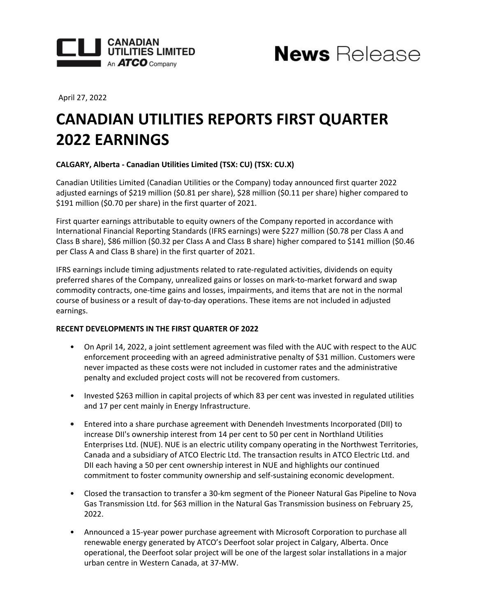



April 27, 2022

# **CANADIAN UTILITIES REPORTS FIRST QUARTER 2022 EARNINGS**

# CALGARY, Alberta - Canadian Utilities Limited (TSX: CU) (TSX: CU.X)

Canadian Utilities Limited (Canadian Utilities or the Company) today announced first quarter 2022 adjusted earnings of \$219 million (\$0.81 per share), \$28 million (\$0.11 per share) higher compared to \$191 million (\$0.70 per share) in the first quarter of 2021.

First quarter earnings attributable to equity owners of the Company reported in accordance with International Financial Reporting Standards (IFRS earnings) were \$227 million (\$0.78 per Class A and Class B share), \$86 million (\$0.32 per Class A and Class B share) higher compared to \$141 million (\$0.46 per Class A and Class B share) in the first quarter of 2021.

IFRS earnings include timing adjustments related to rate-regulated activities, dividends on equity preferred shares of the Company, unrealized gains or losses on mark-to-market forward and swap commodity contracts, one-time gains and losses, impairments, and items that are not in the normal course of business or a result of day-to-day operations. These items are not included in adjusted earnings. 

## **RECENT DEVELOPMENTS IN THE FIRST QUARTER OF 2022**

- On April 14, 2022, a joint settlement agreement was filed with the AUC with respect to the AUC enforcement proceeding with an agreed administrative penalty of \$31 million. Customers were never impacted as these costs were not included in customer rates and the administrative penalty and excluded project costs will not be recovered from customers.
- Invested \$263 million in capital projects of which 83 per cent was invested in regulated utilities and 17 per cent mainly in Energy Infrastructure.
- Entered into a share purchase agreement with Denendeh Investments Incorporated (DII) to increase DII's ownership interest from 14 per cent to 50 per cent in Northland Utilities Enterprises Ltd. (NUE). NUE is an electric utility company operating in the Northwest Territories, Canada and a subsidiary of ATCO Electric Ltd. The transaction results in ATCO Electric Ltd. and DII each having a 50 per cent ownership interest in NUE and highlights our continued commitment to foster community ownership and self-sustaining economic development.
- Closed the transaction to transfer a 30-km segment of the Pioneer Natural Gas Pipeline to Nova Gas Transmission Ltd. for \$63 million in the Natural Gas Transmission business on February 25, 2022.
- Announced a 15-year power purchase agreement with Microsoft Corporation to purchase all renewable energy generated by ATCO's Deerfoot solar project in Calgary, Alberta. Once operational, the Deerfoot solar project will be one of the largest solar installations in a major urban centre in Western Canada, at 37-MW.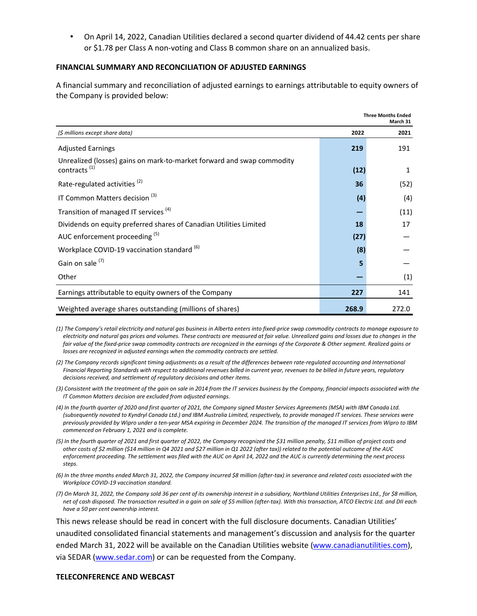On April 14, 2022, Canadian Utilities declared a second quarter dividend of 44.42 cents per share or \$1.78 per Class A non-voting and Class B common share on an annualized basis.

## **FINANCIAL SUMMARY AND RECONCILIATION OF ADJUSTED EARNINGS**

A financial summary and reconciliation of adjusted earnings to earnings attributable to equity owners of the Company is provided below:

|                                                                                                    | <b>Three Months Ended</b><br>March 31 |       |
|----------------------------------------------------------------------------------------------------|---------------------------------------|-------|
| (\$ millions except share data)                                                                    | 2022                                  | 2021  |
| <b>Adjusted Earnings</b>                                                                           | 219                                   | 191   |
| Unrealized (losses) gains on mark-to-market forward and swap commodity<br>contracts <sup>(1)</sup> | (12)                                  | 1     |
| Rate-regulated activities <sup>(2)</sup>                                                           | 36                                    | (52)  |
| IT Common Matters decision <sup>(3)</sup>                                                          | (4)                                   | (4)   |
| Transition of managed IT services <sup>(4)</sup>                                                   |                                       | (11)  |
| Dividends on equity preferred shares of Canadian Utilities Limited                                 | 18                                    | 17    |
| AUC enforcement proceeding (5)                                                                     | (27)                                  |       |
| Workplace COVID-19 vaccination standard <sup>(6)</sup>                                             | (8)                                   |       |
| Gain on sale <sup>(7)</sup>                                                                        | 5                                     |       |
| Other                                                                                              |                                       | (1)   |
| Earnings attributable to equity owners of the Company                                              | 227                                   | 141   |
| Weighted average shares outstanding (millions of shares)                                           | 268.9                                 | 272.0 |

(1) The Company's retail electricity and natural gas business in Alberta enters into fixed-price swap commodity contracts to manage exposure to electricity and natural gas prices and volumes. These contracts are measured at fair value. Unrealized gains and losses due to changes in the fair value of the fixed-price swap commodity contracts are recognized in the earnings of the Corporate & Other segment. Realized gains or *losses are recognized in adjusted earnings when the commodity contracts are settled.* 

(2) The Company records significant timing adjustments as a result of the differences between rate-regulated accounting and International Financial Reporting Standards with respect to additional revenues billed in current year, revenues to be billed in future years, regulatory decisions received, and settlement of regulatory decisions and other items.

- (3) Consistent with the treatment of the gain on sale in 2014 from the IT services business by the Company, financial impacts associated with the *IT Common Matters decision are excluded from adjusted earnings.*
- (4) In the fourth quarter of 2020 and first quarter of 2021, the Company signed Master Services Agreements (MSA) with IBM Canada Ltd. (subsequently novated to Kyndryl Canada Ltd.) and IBM Australia Limited, respectively, to provide managed IT services. These services were previously provided by Wipro under a ten-year MSA expiring in December 2024. The transition of the managed IT services from Wipro to IBM *commenced on February 1, 2021 and is complete.*
- (5) In the fourth quarter of 2021 and first quarter of 2022, the Company recognized the \$31 million penalty, \$11 million of project costs and other costs of \$2 million (\$14 million in Q4 2021 and \$27 million in Q1 2022 (after tax)) related to the potential outcome of the AUC enforcement proceeding. The settlement was filed with the AUC on April 14, 2022 and the AUC is currently determining the next process *steps.*
- (6) In the three months ended March 31, 2022, the Company incurred \$8 million (after-tax) in severance and related costs associated with the *Workplace COVID-19 vaccination standard.*
- (7) On March 31, 2022, the Company sold 36 per cent of its ownership interest in a subsidiary, Northland Utilities Enterprises Ltd., for \$8 million, net of cash disposed. The transaction resulted in a gain on sale of \$5 million (after-tax). With this transaction, ATCO Electric Ltd. and DII each *have a 50 per cent ownership interest.*

This news release should be read in concert with the full disclosure documents. Canadian Utilities' unaudited consolidated financial statements and management's discussion and analysis for the quarter ended March 31, 2022 will be available on the Canadian Utilities website [\(www.canadianutilities.com\)](https://www.canadianutilities.com/en-ca.html), via SEDAR ([www.sedar.com\)](https://www.sedar.com/) or can be requested from the Company.

### **TELECONFERENCE AND WEBCAST**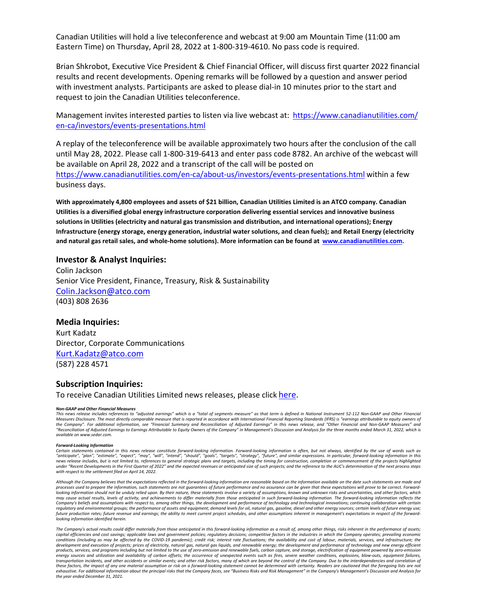Canadian Utilities will hold a live teleconference and webcast at 9:00 am Mountain Time (11:00 am Eastern Time) on Thursday, April 28, 2022 at 1-800-319-4610. No pass code is required.

Brian Shkrobot, Executive Vice President & Chief Financial Officer, will discuss first quarter 2022 financial results and recent developments. Opening remarks will be followed by a question and answer period with investment analysts. Participants are asked to please dial-in 10 minutes prior to the start and request to join the Canadian Utilities teleconference.

Management invites interested parties to listen via live webcast at: [https://www.canadianutilities.com/](https://www.canadianutilities.com/en-ca/investors/events-presentations.html) [en-ca/investors/events-presentations.html](https://www.canadianutilities.com/en-ca/investors/events-presentations.html)

A replay of the teleconference will be available approximately two hours after the conclusion of the call until May 28, 2022. Please call 1-800-319-6413 and enter pass code 8782. An archive of the webcast will be available on April 28, 2022 and a transcript of the call will be posted on <https://www.canadianutilities.com/en-ca/about-us/investors/events-presentations.html> within a few business days.

With approximately 4,800 employees and assets of \$21 billion, Canadian Utilities Limited is an ATCO company. Canadian Utilities is a diversified global energy infrastructure corporation delivering essential services and innovative business solutions in Utilities (electricity and natural gas transmission and distribution, and international operations); Energy Infrastructure (energy storage, energy generation, industrial water solutions, and clean fuels); and Retail Energy (electricity and natural gas retail sales, and whole-home solutions). More information can be found at [www.canadianutilities.com.](https://www.canadianutilities.com)

#### **Investor & Analyst Inquiries:**

Colin Jackson Senior Vice President, Finance, Treasury, Risk & Sustainability [Colin.Jackson@atco.com](mailto:Colin.Jackson@atco.com) (403) 808 2636

#### **Media Inquiries:**

Kurt Kadatz Director, Corporate Communications [Kurt.Kadatz@atco.com](mailto:Kurt.Kadatz@atco.com) (587) 228 4571

## **Subscription Inquiries:**

To receive Canadian Utilities Limited news releases, please click [here](https://can01.safelinks.protection.outlook.com/?url=https%3A%2F%2Fcanadianutilities.mediaroom.com%2F&data=04%7C01%7CLawrence.Gramson%40atco.com%7C69facf9572e34cdc41ba08d9989f9121%7Cf1e3115057dd4b7892083c24b9366a23%7C0%7C0%7C637708633493108488%7CUnknown%7CTWFpbGZsb3d8eyJWIjoiMC4wLjAwMDAiLCJQIjoiV2luMzIiLCJBTiI6Ik1haWwiLCJXVCI6Mn0%3D%7C1000&sdata=LSzmY3626rz10diT7TYE%2FZxgGLlyHK0Z9V3lh6xtY5c%3D&reserved=0).

#### *Non-GAAP and Other Financial Measures*

This news release includes references to "adjusted earnings" which is a "total of seaments measure" as that term is defined in National Instrument 52-112 Non-GAAP and Other Financial Measures Disclosure. The most directly comparable measure that is reported in accordance with International Financial Reporting Standards (IFRS) is "earnings attributable to equity owners of the Company". For additional information, see "Financial Summary and Reconciliation of Adjusted Earnings" in this news release, and "Other Financial and Non-GAAP Measures" and "Reconciliation of Adjusted Earnings to Earnings Attributable to Equity Owners of the Company" in Management's Discussion and Analysis for the three months ended March 31, 2022, which is *available on www.sedar.com.*

#### *Forward-Looking Information*

Certain statements contained in this news release constitute forward-looking information. Forward-looking information is often, but not always, identified by the use of words such as "anticipate", "plan", "estimate", "expect", "may", "will", "intend", "should", "goals", "targets", "strategy", "future", and similar expressions. In particular, forward-looking information in this<br>news release includes, bu under "Recent Developments in the First Quarter of 2022" and the expected revenues or anticipated size of such projects; and the reference to the AUC's determination of the next process steps with respect to the settlement filed on April 14, 2022.

Although the Company believes that the expectations reflected in the forward-looking information are reasonable based on the information available on the date such statements are made and processes used to prepare the information, such statements are not guarantees of future performance and no assurance can be given that these expectations will prove to be correct. Forward*l* looking information should not be unduly relied upon. By their nature, these statements involve a variety of assumptions, known and unknown risks and uncertainties, and other factors, which may cause actual results, levels of activity, and achievements to differ materially from those anticipated in such forward-looking information. The forward-looking information reflects the Company's beliefs and assumptions with respect to, among other things, the development and performance of technology and technological innovations; continuing collaboration with certain regulatory and environmental groups; the performance of assets and equipment; demand levels for oil, natural gas, gasoline, diesel and other energy sources; certain levels of future energy use;<br>future production rates; fut *looking information identified herein.*

The Company's actual results could differ materially from those anticipated in this forward-looking information as a result of, among other things, risks inherent in the performance of assets; capital efficiencies and cost savinas; applicable laws and aovernment policies; regulatory decisions; competitive factors in the industries in which the Company operates; prevailing economic conditions (including as may be affected by the COVID-19 pandemic); credit risk; interest rate fluctuations; the availability and cost of labour, materials, services, and infrastructure; the development and execution of projects; prices of electricity, natural gas, natural gas liquids, and renewable energy; the development and performance of technology and new energy efficient<br>products, services, and programs energy sources and utilization and availability of carbon offsets; the occurrence of unexpected events such as fires, severe weather conditions, explosions, blow-outs, equipment failures,<br>transportation incidents, and othe these factors, the impact of any one material assumption or risk on a forward-looking statement cannot be determined with certainty. Readers are cautioned that the foregoing lists are not exhaustive. For additional information about the principal risks that the Company faces, see "Business Risks and Risk Management" in the Company's Management's Discussion and Analysis for the year ended December 31, 2021.